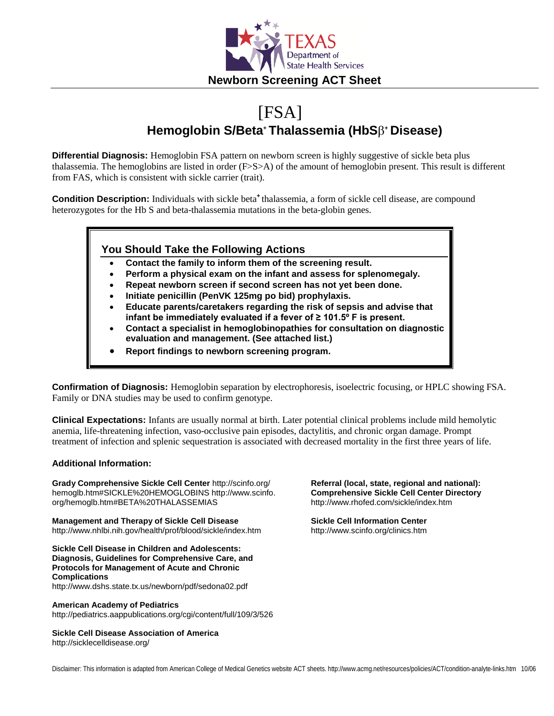

# [FSA] **Hemoglobin S/Beta+ Thalassemia (HbS**β**<sup>+</sup> Disease)**

**Differential Diagnosis:** Hemoglobin FSA pattern on newborn screen is highly suggestive of sickle beta plus thalassemia. The hemoglobins are listed in order (F>S>A) of the amount of hemoglobin present. This result is different from FAS, which is consistent with sickle carrier (trait).

**Condition Description:** Individuals with sickle beta<sup>+</sup> thalassemia, a form of sickle cell disease, are compound heterozygotes for the Hb S and beta-thalassemia mutations in the beta-globin genes.

#### **You Should Take the Following Actions**

- **Contact the family to inform them of the screening result.**
- **Perform a physical exam on the infant and assess for splenomegaly.**
- **Repeat newborn screen if second screen has not yet been done.**
- **Initiate penicillin (PenVK 125mg po bid) prophylaxis.**
- **Educate parents/caretakers regarding the risk of sepsis and advise that infant be immediately evaluated if a fever of ≥ 101.5º F is present.**
- **Contact a specialist in hemoglobinopathies for consultation on diagnostic evaluation and management. (See attached list.)**
- **Report findings to newborn screening program.**

**Confirmation of Diagnosis:** Hemoglobin separation by electrophoresis, isoelectric focusing, or HPLC showing FSA. Family or DNA studies may be used to confirm genotype.

**Clinical Expectations:** Infants are usually normal at birth. Later potential clinical problems include mild hemolytic anemia, life-threatening infection, vaso-occlusive pain episodes, dactylitis, and chronic organ damage. Prompt treatment of infection and splenic sequestration is associated with decreased mortality in the first three years of life.

#### **Additional Information:**

**Grady Comprehensive Sickle Cell Center** http://scinfo.org/ hemoglb.htm#SICKLE%20HEMOGLOBINS http://www.scinfo. org/hemoglb.htm#BETA%20THALASSEMIAS

**Management and Therapy of Sickle Cell Disease** http://www.nhlbi.nih.gov/health/prof/blood/sickle/index.htm

**Sickle Cell Disease in Children and Adolescents: Diagnosis, Guidelines for Comprehensive Care, and Protocols for Management of Acute and Chronic Complications**

http://www.dshs.state.tx.us/newborn/pdf/sedona02.pdf

#### **American Academy of Pediatrics**

http://pediatrics.aappublications.org/cgi/content/full/109/3/526

**Sickle Cell Disease Association of America** http://sicklecelldisease.org/

**Referral (local, state, regional and national): Comprehensive Sickle Cell Center Directory** http://www.rhofed.com/sickle/index.htm

**Sickle Cell Information Center** http://www.scinfo.org/clinics.htm